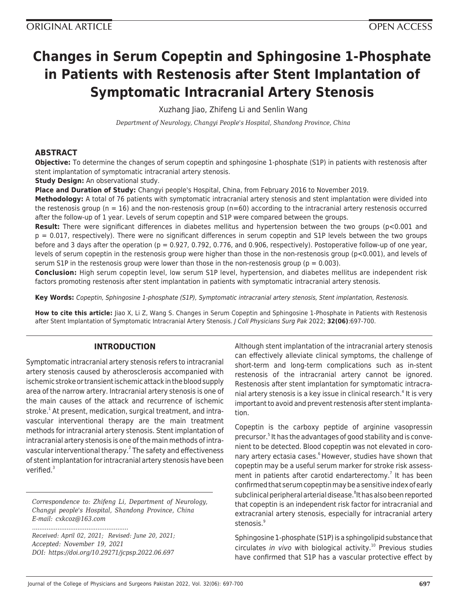# **Changes in Serum Copeptin and Sphingosine 1-Phosphate in Patients with Restenosis after Stent Implantation of Symptomatic Intracranial Artery Stenosis**

Xuzhang Jiao, Zhifeng Li and Senlin Wang

*Department of Neurology, Changyi People's Hospital, Shandong Province, China*

# **ABSTRACT**

**Objective:** To determine the changes of serum copeptin and sphingosine 1-phosphate (S1P) in patients with restenosis after stent implantation of symptomatic intracranial artery stenosis.

**Study Design:** An observational study.

**Place and Duration of Study:** Changyi people's Hospital, China, from February 2016 to November 2019.

**Methodology:** A total of 76 patients with symptomatic intracranial artery stenosis and stent implantation were divided into the restenosis group ( $n = 16$ ) and the non-restenosis group ( $n=60$ ) according to the intracranial artery restenosis occurred after the follow-up of 1 year. Levels of serum copeptin and S1P were compared between the groups.

**Result:** There were significant differences in diabetes mellitus and hypertension between the two groups (p<0.001 and p = 0.017, respectively). There were no significant differences in serum copeptin and S1P levels between the two groups before and 3 days after the operation ( $p = 0.927, 0.792, 0.776$ , and 0.906, respectively). Postoperative follow-up of one year, levels of serum copeptin in the restenosis group were higher than those in the non-restenosis group (p<0.001), and levels of serum S1P in the restenosis group were lower than those in the non-restenosis group ( $p = 0.003$ ).

**Conclusion:** High serum copeptin level, low serum S1P level, hypertension, and diabetes mellitus are independent risk factors promoting restenosis after stent implantation in patients with symptomatic intracranial artery stenosis.

**Key Words:** Copeptin, Sphingosine 1-phosphate (S1P), Symptomatic intracranial artery stenosis, Stent implantation, Restenosis.

**How to cite this article:** Jiao X, Li Z, Wang S. Changes in Serum Copeptin and Sphingosine 1-Phosphate in Patients with Restenosis after Stent Implantation of Symptomatic Intracranial Artery Stenosis. J Coll Physicians Surg Pak 2022; **32(06)**:697-700.

# **INTRODUCTION**

Symptomatic intracranial artery stenosis refers to intracranial artery stenosis caused by atherosclerosis accompanied with ischemic stroke or transient ischemic attack in the blood supply area of the narrow artery. Intracranial artery stenosis is one of the main causes of the attack and recurrence of ischemic stroke.<sup>1</sup> At present, medication, surgical treatment, and intravascular interventional therapy are the main treatment methods for intracranial artery stenosis. Stent implantation of intracranial artery stenosis is one of the main methods of intravascular interventional therapy.<sup>2</sup> The safety and effectiveness of stent implantation for intracranial artery stenosis have been verified.<sup>3</sup>

*Correspondence to: Zhifeng Li, Department of Neurology, Changyi people's Hospital, Shandong Province, China E-mail: cxkcoz@163.com*

*Received: April 02, 2021; Revised: June 20, 2021; Accepted: November 19, 2021 DOI: https://doi.org/10.29271/jcpsp.2022.06.697*

*.....................................................*

Although stent implantation of the intracranial artery stenosis can effectively alleviate clinical symptoms, the challenge of short-term and long-term complications such as in-stent restenosis of the intracranial artery cannot be ignored. Restenosis after stent implantation for symptomatic intracranial artery stenosis is a key issue in clinical research.<sup>4</sup> It is very important to avoid and prevent restenosis after stent implantation.

Copeptin is the carboxy peptide of arginine vasopressin precursor.<sup>5</sup> It has the advantages of good stability and is convenient to be detected. Blood copeptin was not elevated in coronary artery ectasia cases.<sup>6</sup> However, studies have shown that copeptin may be a useful serum marker for stroke risk assessment in patients after carotid endarterectomy.<sup>7</sup> It has been confirmed that serum copeptin may be a sensitive index of early subclinical peripheral arterial disease. <sup>8</sup>It has also been reported that copeptin is an independent risk factor for intracranial and extracranial artery stenosis, especially for intracranial artery stenosis.<sup>9</sup>

Sphingosine 1-phosphate (S1P) is a sphingolipid substance that circulates in vivo with biological activity.<sup>10</sup> Previous studies have confirmed that S1P has a vascular protective effect by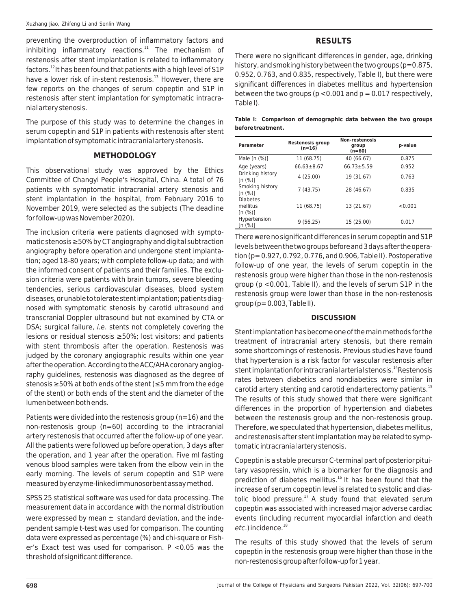preventing the overproduction of inflammatory factors and  $i$ nhibiting inflammatory reactions. $11$  The mechanism of restenosis after stent implantation is related to inflammatory factors.<sup>12</sup> It has been found that patients with a high level of S1P have a lower risk of in-stent restenosis.<sup>13</sup> However, there are few reports on the changes of serum copeptin and S1P in restenosis after stent implantation for symptomatic intracranial artery stenosis.

The purpose of this study was to determine the changes in serum copeptin and S1P in patients with restenosis after stent implantation of symptomatic intracranial artery stenosis.

#### **METHODOLOGY**

This observational study was approved by the Ethics Committee of Changyi People's Hospital, China. A total of 76 patients with symptomatic intracranial artery stenosis and stent implantation in the hospital, from February 2016 to November 2019, were selected as the subjects (The deadline for follow-up was November 2020).

The inclusion criteria were patients diagnosed with symptomatic stenosis ≥50% by CT angiography and digital subtraction angiography before operation and undergone stent implantation; aged 18-80 years; with complete follow-up data; and with the informed consent of patients and their families. The exclusion criteria were patients with brain tumors, severe bleeding tendencies, serious cardiovascular diseases, blood system diseases, or unable to tolerate stent implantation; patients diagnosed with symptomatic stenosis by carotid ultrasound and transcranial Doppler ultrasound but not examined by CTA or DSA; surgical failure, *i.e.* stents not completely covering the lesions or residual stenosis ≥50%; lost visitors; and patients with stent thrombosis after the operation. Restenosis was judged by the coronary angiographic results within one year after the operation. According to the ACC/AHA coronary angiography guidelines, restenosis was diagnosed as the degree of stenosis ≥50% at both ends of the stent (≤5 mm from the edge of the stent) or both ends of the stent and the diameter of the lumen between both ends.

Patients were divided into the restenosis group (n=16) and the non-restenosis group (n=60) according to the intracranial artery restenosis that occurred after the follow-up of one year. All the patients were followed up before operation, 3 days after the operation, and 1 year after the operation. Five ml fasting venous blood samples were taken from the elbow vein in the early morning. The levels of serum copeptin and S1P were measured by enzyme-linked immunosorbent assay method.

SPSS 25 statistical software was used for data processing. The measurement data in accordance with the normal distribution were expressed by mean  $\pm$  standard deviation, and the independent sample t-test was used for comparison. The counting data were expressed as percentage (%) and chi-square or Fisher's Exact test was used for comparison. P <0.05 was the threshold of significant difference.

# **RESULTS**

There were no significant differences in gender, age, drinking history, and smoking history between the two groups ( $p=0.875$ , 0.952, 0.763, and 0.835, respectively, Table I), but there were significant differences in diabetes mellitus and hypertension between the two groups ( $p < 0.001$  and  $p = 0.017$  respectively, Table I).

|                   |  |  | Table I: Comparison of demographic data between the two groups |  |  |  |  |
|-------------------|--|--|----------------------------------------------------------------|--|--|--|--|
| before treatment. |  |  |                                                                |  |  |  |  |

| <b>Parameter</b>                       | <b>Restenosis group</b><br>$(n=16)$ | <b>Non-restenosis</b><br>group<br>$(n=60)$ | p-value |  |
|----------------------------------------|-------------------------------------|--------------------------------------------|---------|--|
| Male $[n (%)]$                         | 11 (68.75)                          | 40 (66.67)                                 | 0.875   |  |
| Age (years)                            | $66.63 \pm 8.67$                    | $66.73 \pm 5.59$                           | 0.952   |  |
| Drinking history<br>[n (%)]            | 4(25.00)                            | 19 (31.67)                                 | 0.763   |  |
| Smoking history<br>[n (%)]             | 7(43.75)                            | 28 (46.67)                                 | 0.835   |  |
| <b>Diabetes</b><br>mellitus<br>[n (%)] | 11 (68.75)                          | 13 (21.67)                                 | < 0.001 |  |
| Hypertension<br>[n (%)]                | 9(56.25)                            | 15 (25.00)                                 | 0.017   |  |

There were no significant differences in serum copeptin and S1P levels between the two groups before and 3 days after the operation (p= 0.927, 0.792, 0.776, and 0.906, Table II). Postoperative follow-up of one year, the levels of serum copeptin in the restenosis group were higher than those in the non-restenosis group (p <0.001, Table II), and the levels of serum S1P in the restenosis group were lower than those in the non-restenosis  $group (p= 0.003, Table II).$ 

#### **DISCUSSION**

Stent implantation has become one of the main methods for the treatment of intracranial artery stenosis, but there remain some shortcomings of restenosis. Previous studies have found that hypertension is a risk factor for vascular restenosis after stent implantation for intracranial arterial stenosis.<sup>14</sup>Restenosis rates between diabetics and nondiabetics were similar in carotid artery stenting and carotid endarterectomy patients.<sup>15</sup> The results of this study showed that there were significant differences in the proportion of hypertension and diabetes between the restenosis group and the non-restenosis group. Therefore, we speculated that hypertension, diabetes mellitus, and restenosis after stent implantation may be related to symptomatic intracranial artery stenosis.

Copeptin is a stable precursor C-terminal part of posterior pituitary vasopressin, which is a biomarker for the diagnosis and prediction of diabetes mellitus.<sup>16</sup> It has been found that the increase of serum copeptin level is related to systolic and diastolic blood pressure.<sup>17</sup> A study found that elevated serum copeptin was associated with increased major adverse cardiac events (including recurrent myocardial infarction and death  $etc.$ ) incidence. $^{18}$ 

The results of this study showed that the levels of serum copeptin in the restenosis group were higher than those in the non-restenosis group after follow-up for 1 year.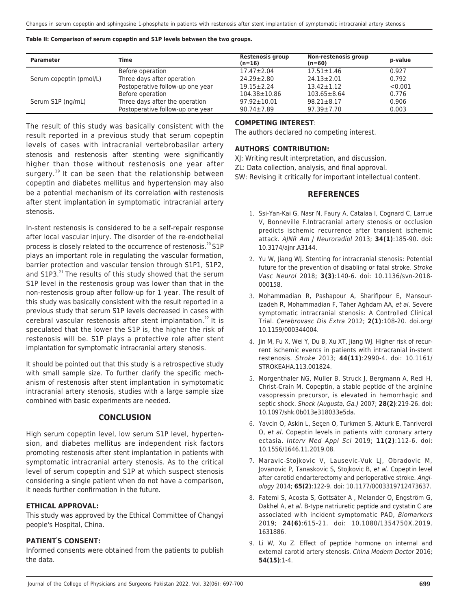**Table II: Comparison of serum copeptin and S1P levels between the two groups.**

| <b>Parameter</b>        | Time                             | Restenosis group<br>$(n=16)$ | Non-restenosis group<br>$(n=60)$ | p-value |
|-------------------------|----------------------------------|------------------------------|----------------------------------|---------|
|                         | Before operation                 | $17.47 \pm 2.04$             | $17.51 \pm 1.46$                 | 0.927   |
| Serum copeptin (pmol/L) | Three days after operation       | $24.29 \pm 2.80$             | $24.13 \pm 2.01$                 | 0.792   |
|                         | Postoperative follow-up one year | $19.15 \pm 2.24$             | $13.42 \pm 1.12$                 | < 0.001 |
|                         | Before operation                 | $104.38 \pm 10.86$           | $103.65 \pm 8.64$                | 0.776   |
| Serum S1P (ng/mL)       | Three days after the operation   | $97.92 \pm 10.01$            | $98.21 \pm 8.17$                 | 0.906   |
|                         | Postoperative follow-up one year | $90.74 \pm 7.89$             | $97.39 \pm 7.70$                 | 0.003   |

The result of this study was basically consistent with the result reported in a previous study that serum copeptin levels of cases with intracranial vertebrobasilar artery stenosis and restenosis after stenting were significantly higher than those without restenosis one year after surgery.<sup>19</sup> It can be seen that the relationship between copeptin and diabetes mellitus and hypertension may also be a potential mechanism of its correlation with restenosis after stent implantation in symptomatic intracranial artery stenosis.

In-stent restenosis is considered to be a self-repair response after local vascular injury. The disorder of the re-endothelial process is closely related to the occurrence of restenosis. $20$  S1P plays an important role in regulating the vascular formation, barrier protection and vascular tension through S1P1, S1P2, and  $S1P3.<sup>21</sup>$  The results of this study showed that the serum S1P level in the restenosis group was lower than that in the non-restenosis group after follow-up for 1 year. The result of this study was basically consistent with the result reported in a previous study that serum S1P levels decreased in cases with cerebral vascular restenosis after stent implantation.<sup>22</sup> It is speculated that the lower the S1P is, the higher the risk of restenosis will be. S1P plays a protective role after stent implantation for symptomatic intracranial artery stenosis.

It should be pointed out that this study is a retrospective study with small sample size. To further clarify the specific mechanism of restenosis after stent implantation in symptomatic intracranial artery stenosis, studies with a large sample size combined with basic experiments are needed.

## **CONCLUSION**

High serum copeptin level, low serum S1P level, hypertension, and diabetes mellitus are independent risk factors promoting restenosis after stent implantation in patients with symptomatic intracranial artery stenosis. As to the critical level of serum copeptin and S1P at which suspect stenosis considering a single patient when do not have a comparison, it needs further confirmation in the future.

## **ETHICAL APPROVAL:**

This study was approved by the Ethical Committee of Changyi people's Hospital, China.

#### **PATIENT' S CONSENT:**

Informed consents were obtained from the patients to publish the data.

#### **COMPETING INTEREST**:

The authors declared no competing interest.

## **AUTHORS' CONTRIBUTION:**

XJ: Writing result interpretation, and discussion.

ZL: Data collection, analysis, and final approval.

SW: Revising it critically for important intellectual content.

### **REFERENCES**

- 1. Ssi-Yan-Kai G, Nasr N, Faury A, Catalaa I, Cognard C, Larrue V, Bonneville F.Intracranial artery stenosis or occlusion predicts ischemic recurrence after transient ischemic attack. AJNR Am J Neuroradiol 2013; **34(1)**:185-90. doi: 10.3174/ajnr.A3144.
- 2. Yu W, Jiang WJ. Stenting for intracranial stenosis: Potential future for the prevention of disabling or fatal stroke. Stroke Vasc Neurol 2018; **3(3)**:140-6. doi: 10.1136/svn-2018- 000158.
- 3. Mohammadian R, Pashapour A, Sharifipour E, Mansourizadeh R, Mohammadian F, Taher Aghdam AA, et al. Severe symptomatic intracranial stenosis: A Controlled Clinical Trial. Cerebrovasc Dis Extra 2012; **2(1)**:108-20. doi.org/ 10.1159/000344004.
- 4. Jin M, Fu X, Wei Y, Du B, Xu XT, Jiang WJ. Higher risk of recurrent ischemic events in patients with intracranial in-stent restenosis. Stroke 2013; **44(11)**:2990-4. doi: 10.1161/ STROKEAHA.113.001824.
- 5. Morgenthaler NG, Muller B, Struck J, Bergmann A, Redl H, Christ-Crain M. Copeptin, a stable peptide of the arginine vasopressin precursor, is elevated in hemorrhagic and septic shock. Shock (Augusta, Ga.) 2007; **28(2)**:219-26. doi: 10.1097/shk.0b013e318033e5da.
- 6. Yavcin O, Askin L, Seçen O, Turkmen S, Akturk E, Tanriverdi O, et al. Copeptin levels in patients with coronary artery ectasia. Interv Med Appl Sci 2019; **11(2)**:112-6. doi: 10.1556/1646.11.2019.08.
- 7. Maravic-Stojkovic V, Lausevic-Vuk LJ, Obradovic M, Jovanovic P, Tanaskovic S, Stojkovic B, et al. Copeptin level after carotid endarterectomy and perioperative stroke. Angiology 2014; **65(2)**:122-9. doi: 10.1177/0003319712473637.
- 8. Fatemi S, Acosta S, Gottsäter A , Melander O, Engström G, Dakhel A, et al. B-type natriuretic peptide and cystatin C are associated with incident symptomatic PAD, Biomarkers 2019; **24(6)**:615-21. doi: 10.1080/1354750X.2019. 1631886.
- 9. Li W, Xu Z. Effect of peptide hormone on internal and external carotid artery stenosis. China Modern Doctor 2016; **54(15)**:1-4.